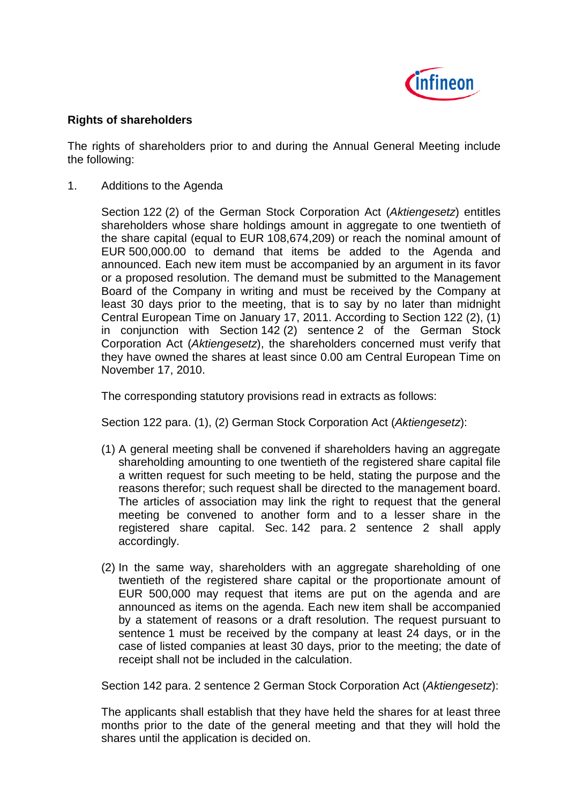

## **Rights of shareholders**

The rights of shareholders prior to and during the Annual General Meeting include the following:

1. Additions to the Agenda

Section 122 (2) of the German Stock Corporation Act (*Aktiengesetz*) entitles shareholders whose share holdings amount in aggregate to one twentieth of the share capital (equal to EUR 108,674,209) or reach the nominal amount of EUR 500,000.00 to demand that items be added to the Agenda and announced. Each new item must be accompanied by an argument in its favor or a proposed resolution. The demand must be submitted to the Management Board of the Company in writing and must be received by the Company at least 30 days prior to the meeting, that is to say by no later than midnight Central European Time on January 17, 2011. According to Section 122 (2), (1) in conjunction with Section 142 (2) sentence 2 of the German Stock Corporation Act (*Aktiengesetz*), the shareholders concerned must verify that they have owned the shares at least since 0.00 am Central European Time on November 17, 2010.

The corresponding statutory provisions read in extracts as follows:

Section 122 para. (1), (2) German Stock Corporation Act (*Aktiengesetz*):

- (1) A general meeting shall be convened if shareholders having an aggregate shareholding amounting to one twentieth of the registered share capital file a written request for such meeting to be held, stating the purpose and the reasons therefor; such request shall be directed to the management board. The articles of association may link the right to request that the general meeting be convened to another form and to a lesser share in the registered share capital. Sec. 142 para. 2 sentence 2 shall apply accordingly.
- (2) In the same way, shareholders with an aggregate shareholding of one twentieth of the registered share capital or the proportionate amount of EUR 500,000 may request that items are put on the agenda and are announced as items on the agenda. Each new item shall be accompanied by a statement of reasons or a draft resolution. The request pursuant to sentence 1 must be received by the company at least 24 days, or in the case of listed companies at least 30 days, prior to the meeting; the date of receipt shall not be included in the calculation.

Section 142 para. 2 sentence 2 German Stock Corporation Act (*Aktiengesetz*):

The applicants shall establish that they have held the shares for at least three months prior to the date of the general meeting and that they will hold the shares until the application is decided on.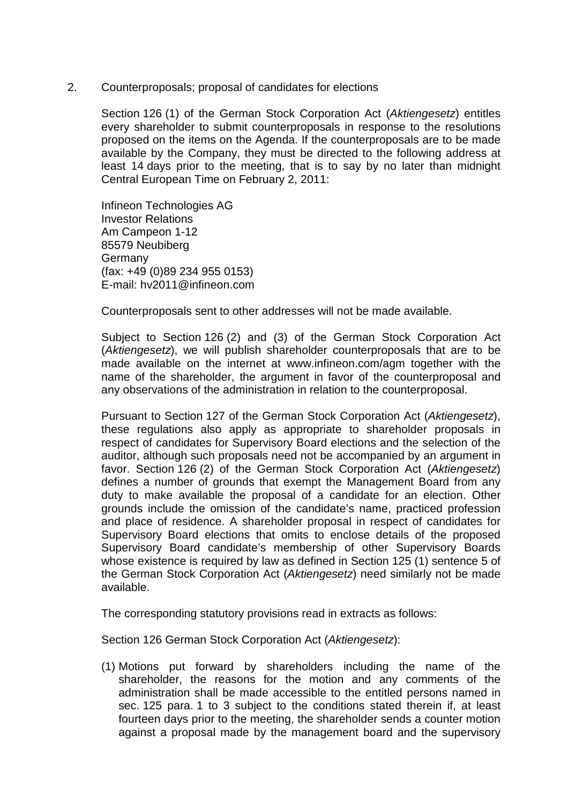2. Counterproposals; proposal of candidates for elections

Section 126 (1) of the German Stock Corporation Act (*Aktiengesetz*) entitles every shareholder to submit counterproposals in response to the resolutions proposed on the items on the Agenda. If the counterproposals are to be made available by the Company, they must be directed to the following address at least 14 days prior to the meeting, that is to say by no later than midnight Central European Time on February 2, 2011:

Infineon Technologies AG Investor Relations Am Campeon 1-12 85579 Neubiberg **Germany** (fax: +49 (0)89 234 955 0153) E-mail: hv2011@infineon.com

Counterproposals sent to other addresses will not be made available.

Subject to Section 126 (2) and (3) of the German Stock Corporation Act (*Aktiengesetz*), we will publish shareholder counterproposals that are to be made available on the internet at www.infineon.com/agm together with the name of the shareholder, the argument in favor of the counterproposal and any observations of the administration in relation to the counterproposal.

Pursuant to Section 127 of the German Stock Corporation Act (*Aktiengesetz*), these regulations also apply as appropriate to shareholder proposals in respect of candidates for Supervisory Board elections and the selection of the auditor, although such proposals need not be accompanied by an argument in favor. Section 126 (2) of the German Stock Corporation Act (*Aktiengesetz*) defines a number of grounds that exempt the Management Board from any duty to make available the proposal of a candidate for an election. Other grounds include the omission of the candidate's name, practiced profession and place of residence. A shareholder proposal in respect of candidates for Supervisory Board elections that omits to enclose details of the proposed Supervisory Board candidate's membership of other Supervisory Boards whose existence is required by law as defined in Section 125 (1) sentence 5 of the German Stock Corporation Act (*Aktiengesetz*) need similarly not be made available.

The corresponding statutory provisions read in extracts as follows:

Section 126 German Stock Corporation Act (*Aktiengesetz*):

(1) Motions put forward by shareholders including the name of the shareholder, the reasons for the motion and any comments of the administration shall be made accessible to the entitled persons named in sec. 125 para. 1 to 3 subject to the conditions stated therein if, at least fourteen days prior to the meeting, the shareholder sends a counter motion against a proposal made by the management board and the supervisory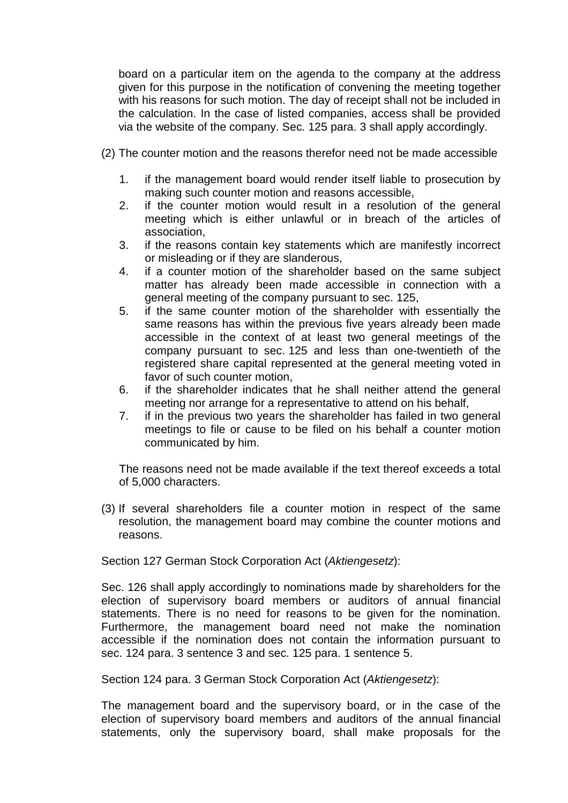board on a particular item on the agenda to the company at the address given for this purpose in the notification of convening the meeting together with his reasons for such motion. The day of receipt shall not be included in the calculation. In the case of listed companies, access shall be provided via the website of the company. Sec. 125 para. 3 shall apply accordingly.

- (2) The counter motion and the reasons therefor need not be made accessible
	- 1. if the management board would render itself liable to prosecution by making such counter motion and reasons accessible,
	- 2. if the counter motion would result in a resolution of the general meeting which is either unlawful or in breach of the articles of association,
	- 3. if the reasons contain key statements which are manifestly incorrect or misleading or if they are slanderous,
	- 4. if a counter motion of the shareholder based on the same subject matter has already been made accessible in connection with a general meeting of the company pursuant to sec. 125,
	- 5. if the same counter motion of the shareholder with essentially the same reasons has within the previous five years already been made accessible in the context of at least two general meetings of the company pursuant to sec. 125 and less than one-twentieth of the registered share capital represented at the general meeting voted in favor of such counter motion,
	- 6. if the shareholder indicates that he shall neither attend the general meeting nor arrange for a representative to attend on his behalf,
	- 7. if in the previous two years the shareholder has failed in two general meetings to file or cause to be filed on his behalf a counter motion communicated by him.

The reasons need not be made available if the text thereof exceeds a total of 5,000 characters.

(3) If several shareholders file a counter motion in respect of the same resolution, the management board may combine the counter motions and reasons.

Section 127 German Stock Corporation Act (*Aktiengesetz*):

Sec. 126 shall apply accordingly to nominations made by shareholders for the election of supervisory board members or auditors of annual financial statements. There is no need for reasons to be given for the nomination. Furthermore, the management board need not make the nomination accessible if the nomination does not contain the information pursuant to sec. 124 para. 3 sentence 3 and sec. 125 para. 1 sentence 5.

Section 124 para. 3 German Stock Corporation Act (*Aktiengesetz*):

The management board and the supervisory board, or in the case of the election of supervisory board members and auditors of the annual financial statements, only the supervisory board, shall make proposals for the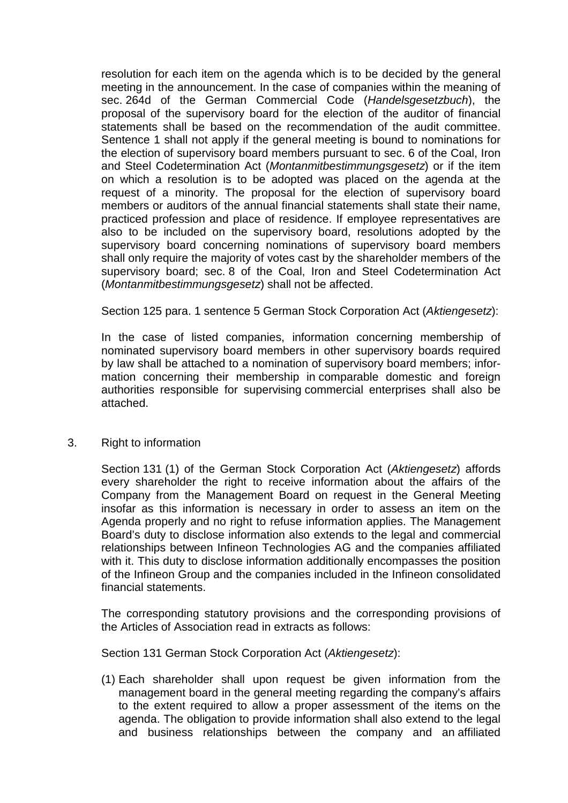resolution for each item on the agenda which is to be decided by the general meeting in the announcement. In the case of companies within the meaning of sec. 264d of the German Commercial Code (*Handelsgesetzbuch*), the proposal of the supervisory board for the election of the auditor of financial statements shall be based on the recommendation of the audit committee. Sentence 1 shall not apply if the general meeting is bound to nominations for the election of supervisory board members pursuant to sec. 6 of the Coal, Iron and Steel Codetermination Act (*Montanmitbestimmungsgesetz*) or if the item on which a resolution is to be adopted was placed on the agenda at the request of a minority. The proposal for the election of supervisory board members or auditors of the annual financial statements shall state their name, practiced profession and place of residence. If employee representatives are also to be included on the supervisory board, resolutions adopted by the supervisory board concerning nominations of supervisory board members shall only require the majority of votes cast by the shareholder members of the supervisory board; sec. 8 of the Coal, Iron and Steel Codetermination Act (*Montanmitbestimmungsgesetz*) shall not be affected.

Section 125 para. 1 sentence 5 German Stock Corporation Act (*Aktiengesetz*):

In the case of listed companies, information concerning membership of nominated supervisory board members in other supervisory boards required by law shall be attached to a nomination of supervisory board members; information concerning their membership in comparable domestic and foreign authorities responsible for supervising commercial enterprises shall also be attached.

## 3. Right to information

Section 131 (1) of the German Stock Corporation Act (*Aktiengesetz*) affords every shareholder the right to receive information about the affairs of the Company from the Management Board on request in the General Meeting insofar as this information is necessary in order to assess an item on the Agenda properly and no right to refuse information applies. The Management Board's duty to disclose information also extends to the legal and commercial relationships between Infineon Technologies AG and the companies affiliated with it. This duty to disclose information additionally encompasses the position of the Infineon Group and the companies included in the Infineon consolidated financial statements.

The corresponding statutory provisions and the corresponding provisions of the Articles of Association read in extracts as follows:

Section 131 German Stock Corporation Act (*Aktiengesetz*):

(1) Each shareholder shall upon request be given information from the management board in the general meeting regarding the company's affairs to the extent required to allow a proper assessment of the items on the agenda. The obligation to provide information shall also extend to the legal and business relationships between the company and an affiliated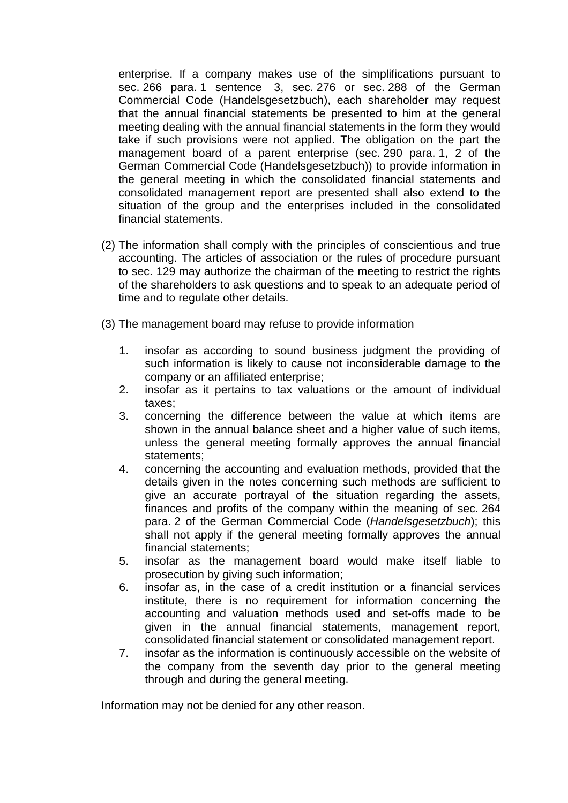enterprise. If a company makes use of the simplifications pursuant to sec. 266 para. 1 sentence 3, sec. 276 or sec. 288 of the German Commercial Code (Handelsgesetzbuch), each shareholder may request that the annual financial statements be presented to him at the general meeting dealing with the annual financial statements in the form they would take if such provisions were not applied. The obligation on the part the management board of a parent enterprise (sec. 290 para. 1, 2 of the German Commercial Code (Handelsgesetzbuch)) to provide information in the general meeting in which the consolidated financial statements and consolidated management report are presented shall also extend to the situation of the group and the enterprises included in the consolidated financial statements.

- (2) The information shall comply with the principles of conscientious and true accounting. The articles of association or the rules of procedure pursuant to sec. 129 may authorize the chairman of the meeting to restrict the rights of the shareholders to ask questions and to speak to an adequate period of time and to regulate other details.
- (3) The management board may refuse to provide information
	- 1. insofar as according to sound business judgment the providing of such information is likely to cause not inconsiderable damage to the company or an affiliated enterprise;
	- 2. insofar as it pertains to tax valuations or the amount of individual taxes;
	- 3. concerning the difference between the value at which items are shown in the annual balance sheet and a higher value of such items, unless the general meeting formally approves the annual financial statements;
	- 4. concerning the accounting and evaluation methods, provided that the details given in the notes concerning such methods are sufficient to give an accurate portrayal of the situation regarding the assets, finances and profits of the company within the meaning of sec. 264 para. 2 of the German Commercial Code (*Handelsgesetzbuch*); this shall not apply if the general meeting formally approves the annual financial statements;
	- 5. insofar as the management board would make itself liable to prosecution by giving such information;
	- 6. insofar as, in the case of a credit institution or a financial services institute, there is no requirement for information concerning the accounting and valuation methods used and set-offs made to be given in the annual financial statements, management report, consolidated financial statement or consolidated management report.
	- 7. insofar as the information is continuously accessible on the website of the company from the seventh day prior to the general meeting through and during the general meeting.

Information may not be denied for any other reason.